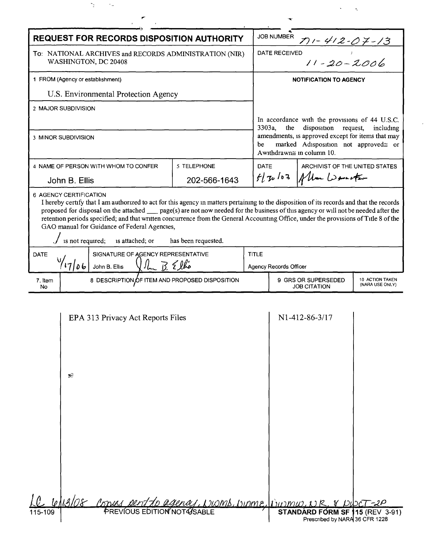| <b>REQUEST FOR RECORDS DISPOSITION AUTHORITY</b>                                                                                                                                                                                                                                                                                                                                                                                                                                                                                                              |              |                                   | <b>JOB NUMBER</b><br><u>7) - 412-07-13</u>                                                                                                                                                                                        |                                            |                                    |  |
|---------------------------------------------------------------------------------------------------------------------------------------------------------------------------------------------------------------------------------------------------------------------------------------------------------------------------------------------------------------------------------------------------------------------------------------------------------------------------------------------------------------------------------------------------------------|--------------|-----------------------------------|-----------------------------------------------------------------------------------------------------------------------------------------------------------------------------------------------------------------------------------|--------------------------------------------|------------------------------------|--|
| To: NATIONAL ARCHIVES and RECORDS ADMINISTRATION (NIR)<br>WASHINGTON, DC 20408                                                                                                                                                                                                                                                                                                                                                                                                                                                                                |              | $11 - 20 - 2006$<br>DATE RECEIVED |                                                                                                                                                                                                                                   |                                            |                                    |  |
| 1 FROM (Agency or establishment)                                                                                                                                                                                                                                                                                                                                                                                                                                                                                                                              |              |                                   | <b>NOTIFICATION TO AGENCY</b>                                                                                                                                                                                                     |                                            |                                    |  |
| U.S. Environmental Protection Agency                                                                                                                                                                                                                                                                                                                                                                                                                                                                                                                          |              |                                   |                                                                                                                                                                                                                                   |                                            |                                    |  |
| 2 MAJOR SUBDIVISION                                                                                                                                                                                                                                                                                                                                                                                                                                                                                                                                           |              |                                   |                                                                                                                                                                                                                                   |                                            |                                    |  |
| <b>3 MINOR SUBDIVISION</b>                                                                                                                                                                                                                                                                                                                                                                                                                                                                                                                                    |              | be                                | In accordance with the provisions of 44 U.S.C.<br>disposition<br>3303a,<br>the<br>request,<br>including<br>amendments, is approved except for items that may<br>marked Adisposition not approved≅ or<br>Awithdrawn≅ in column 10. |                                            |                                    |  |
| 4 NAME OF PERSON WITH WHOM TO CONFER                                                                                                                                                                                                                                                                                                                                                                                                                                                                                                                          | 5 TELEPHONE  | DATE                              |                                                                                                                                                                                                                                   | ARCHIVIST OF THE UNITED STATES             |                                    |  |
| John B. Ellis                                                                                                                                                                                                                                                                                                                                                                                                                                                                                                                                                 | 202-566-1643 |                                   | fl 30 102 Allan Werecker                                                                                                                                                                                                          |                                            |                                    |  |
| 6 AGENCY CERTIFICATION<br>I hereby certify that I am authorized to act for this agency in matters pertaining to the disposition of its records and that the records<br>proposed for disposal on the attached __ page(s) are not now needed for the business of this agency or will not be needed after the<br>retention periods specified; and that written concurrence from the General Accounting Office, under the provisions of Title 8 of the<br>GAO manual for Guidance of Federal Agencies,<br>is not required; is attached; or<br>has been requested. |              |                                   |                                                                                                                                                                                                                                   |                                            |                                    |  |
| SIGNATURE OF AGENCY REPRESENTATIVE<br><b>DATE</b><br>$\frac{10}{1766}$ John B. Ellis<br>$\sqrt{\hbar B \epsilon}$                                                                                                                                                                                                                                                                                                                                                                                                                                             |              | <b>TITLE</b>                      |                                                                                                                                                                                                                                   |                                            |                                    |  |
|                                                                                                                                                                                                                                                                                                                                                                                                                                                                                                                                                               |              |                                   | <b>Agency Records Officer</b>                                                                                                                                                                                                     |                                            |                                    |  |
| 8 DESCRIPTION OF ITEM AND PROPOSED DISPOSITION<br>7. Item<br>No                                                                                                                                                                                                                                                                                                                                                                                                                                                                                               |              |                                   |                                                                                                                                                                                                                                   | 9 GRS OR SUPERSEDED<br><b>JOB CITATION</b> | 10 ACTION TAKEN<br>(NARA USE ONLY) |  |
| EPA 313 Privacy Act Reports Files                                                                                                                                                                                                                                                                                                                                                                                                                                                                                                                             |              |                                   |                                                                                                                                                                                                                                   | N1-412-86-3/17                             |                                    |  |

 $\hat{\mathcal{S}}_{\text{max}}$ 

 $\label{eq:2} \frac{1}{2} \int_{0}^{2\pi} \frac{1}{2} \, \mathrm{d} \theta \, \mathrm{d} \theta \, \mathrm{d} \theta \, \mathrm{d} \theta \, \mathrm{d} \theta \, \mathrm{d} \theta \, \mathrm{d} \theta \, \mathrm{d} \theta \, \mathrm{d} \theta \, \mathrm{d} \theta \, \mathrm{d} \theta \, \mathrm{d} \theta \, \mathrm{d} \theta \, \mathrm{d} \theta \, \mathrm{d} \theta \, \mathrm{d} \theta \, \mathrm{d} \theta \, \mathrm{d} \theta \, \mathrm{d} \theta \, \mathrm{d} \theta \, \mathrm{d} \theta$ 

 $\mathcal{L}$ 

 $\Delta \phi = \phi$ 

|             | EPA 313 Privacy Act Reports Files                                                                                                           | N1-412-86-3/17                                                    |  |
|-------------|---------------------------------------------------------------------------------------------------------------------------------------------|-------------------------------------------------------------------|--|
|             |                                                                                                                                             |                                                                   |  |
|             |                                                                                                                                             |                                                                   |  |
|             |                                                                                                                                             |                                                                   |  |
|             |                                                                                                                                             |                                                                   |  |
|             | $\mathbf{S}$                                                                                                                                |                                                                   |  |
|             |                                                                                                                                             |                                                                   |  |
|             |                                                                                                                                             |                                                                   |  |
|             |                                                                                                                                             |                                                                   |  |
|             |                                                                                                                                             |                                                                   |  |
|             |                                                                                                                                             |                                                                   |  |
|             |                                                                                                                                             |                                                                   |  |
|             |                                                                                                                                             |                                                                   |  |
|             |                                                                                                                                             |                                                                   |  |
|             |                                                                                                                                             |                                                                   |  |
|             |                                                                                                                                             |                                                                   |  |
|             | 6/13/08<br><u>Copies dent do agence, NWMS, Ninme, Ninnmw, NR, &amp; DiscT-20</u><br>PREVIOUS EDITION NOT GSABLE STANDARD FORM SF 115 (REV 3 |                                                                   |  |
| $115 - 109$ |                                                                                                                                             | STANDARD FÓRM SF 115 (REV 3-91)<br>Prescribed by NARA 36 CFR 1228 |  |
|             |                                                                                                                                             |                                                                   |  |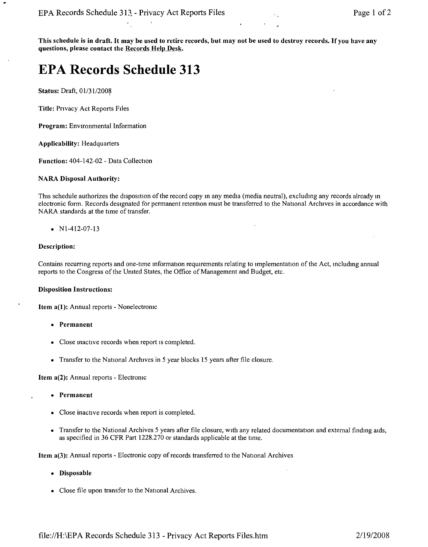This schedule is in draft. It may be used to retire records, but may not be used to destroy records. If you have any questions, please contact the Records Help Desk.

# **EPA Records Schedule 313**

Status: Draft, 01/31/2008

Title: Privacy Act Reports Files

Program: Environmental Information

Applicability: Headquarters

Function: 404-142-02 - Data Collection

#### NARA Disposal Authority:

This schedule authorizes the disposition of the record copy m any media (media neutral), excluding any records already m electronic form. Records designated for permanent retention must be transferred to the National Archives in accordance with NARA standards at the time of transfer.

• NI-412-07-13

# Description:

Contains recurnng reports and one-time mformation requirements relating to Implementation of the Act, includmg annual reports to the Congress of the Umted States, the Office of Management and Budget, etc.

# **Disposition Instruction**

Item a(1): Annual reports - Nonelectromc

- • Permanent
- • Close mactive records when report IS completed.
- Transfer to the National Archives in 5 year blocks 15 years after file closure.

Item a(2): Annual reports - Electromc

- • Permanent
- Close inactive records when report is completed.
- Transfer to the National Archives 5 years after file closure, with any related documentation and external finding aids, as specified in 36 CFR Part 1228.270 or standards applicable at the time.

Item a(3): Annual reports - Electronic copy of records transferred to the National Archives

- • Disposable
- Close file upon transfer to the National Archives.